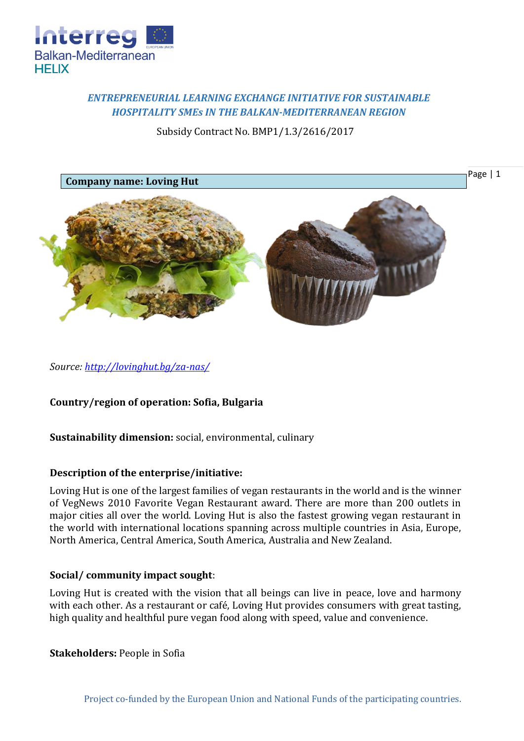

# *ENTREPRENEURIAL LEARNING EXCHANGE INITIATIVE FOR SUSTAINABLE HOSPITALITY SMEs IN THE BALKAN-MEDITERRANEAN REGION*

Subsidy Contract No. BMP1/1.3/2616/2017



*Source:<http://lovinghut.bg/za-nas/>*

# **Country/region of operation: Sofia, Bulgaria**

**Sustainability dimension:** social, environmental, culinary

#### **Description of the enterprise/initiative:**

Loving Hut is one of the largest families of vegan restaurants in the world and is the winner of VegNews 2010 Favorite Vegan Restaurant award. There are more than 200 outlets in major cities all over the world. Loving Hut is also the fastest growing vegan restaurant in the world with international locations spanning across multiple countries in Asia, Europe, North America, Central America, South America, Australia and New Zealand.

#### **Social/ community impact sought**:

Loving Hut is created with the vision that all beings can live in peace, love and harmony with each other. As a restaurant or café, Loving Hut provides consumers with great tasting, high quality and healthful pure vegan food along with speed, value and convenience.

**Stakeholders:** People in Sofia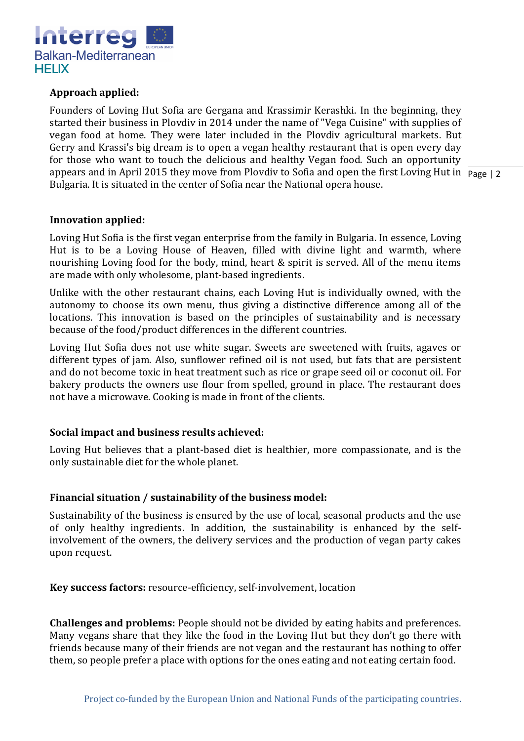

## **Approach applied:**

appears and in April 2015 they move from Plovdiv to Sofia and open the first Loving Hut in Page | 2 Founders of Loving Hut Sofia are Gergana and Krassimir Kerashki. In the beginning, they started their business in Plovdiv in 2014 under the name of "Vega Cuisine" with supplies of vegan food at home. They were later included in the Plovdiv agricultural markets. But Gerry and Krassi's big dream is to open a vegan healthy restaurant that is open every day for those who want to touch the delicious and healthy Vegan food. Such an opportunity Bulgaria. It is situated in the center of Sofia near the National opera house.

#### **Innovation applied:**

Loving Hut Sofia is the first vegan enterprise from the family in Bulgaria. In essence, Loving Hut is to be a Loving House of Heaven, filled with divine light and warmth, where nourishing Loving food for the body, mind, heart & spirit is served. All of the menu items are made with only wholesome, plant-based ingredients.

Unlike with the other restaurant chains, each Loving Hut is individually owned, with the autonomy to choose its own menu, thus giving a distinctive difference among all of the locations. This innovation is based on the principles of sustainability and is necessary because of the food/product differences in the different countries.

Loving Hut Sofia does not use white sugar. Sweets are sweetened with fruits, agaves or different types of jam. Also, sunflower refined oil is not used, but fats that are persistent and do not become toxic in heat treatment such as rice or grape seed oil or coconut oil. For bakery products the owners use flour from spelled, ground in place. The restaurant does not have a microwave. Cooking is made in front of the clients.

#### **Social impact and business results achieved:**

Loving Hut believes that a plant-based diet is healthier, more compassionate, and is the only sustainable diet for the whole planet.

#### **Financial situation / sustainability of the business model:**

Sustainability of the business is ensured by the use of local, seasonal products and the use of only healthy ingredients. In addition, the sustainability is enhanced by the selfinvolvement of the owners, the delivery services and the production of vegan party cakes upon request.

**Key success factors:** resource-efficiency, self-involvement, location

**Challenges and problems:** People should not be divided by eating habits and preferences. Many vegans share that they like the food in the Loving Hut but they don't go there with friends because many of their friends are not vegan and the restaurant has nothing to offer them, so people prefer a place with options for the ones eating and not eating certain food.